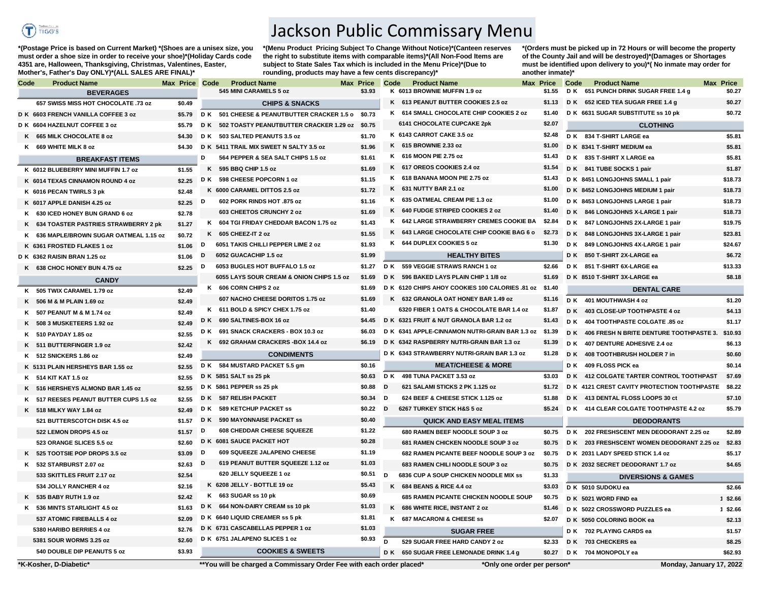

**\*(Postage Price is based on Current Market) \*(Shoes are a unisex size, you must order a shoe size in order to receive your shoe)\*(Holiday Cards code 4351 are, Halloween, Thanksgiving, Christmas, Valentines, Easter, Mother's, Father's Day ONLY)\*(ALL SALES ARE FINAL)\***

Jackson Public Commissary Menu

**\*(Menu Product Pricing Subject To Change Without Notice)\*(Canteen reserves the right to substitute items with comparable items)\*(All Non-Food Items are subject to State Sales Tax which is included in the Menu Price)\*(Due to rounding, products may have a few cents discrepancy)\*** 

**\*(Orders must be picked up in 72 Hours or will become the property of the County Jail and will be destroyed)\*(Damages or Shortages must be identified upon delivery to you)\*( No inmate may order for another inmate)\***

| Code | <b>Product Name</b>                     | Max Price Code |     | <b>Product Name</b>                                                  | Max Price |          | Code | <b>Product Name</b>                                    | Max Price                   | Code | <b>Product Name</b>                                | <b>Max Price</b> |
|------|-----------------------------------------|----------------|-----|----------------------------------------------------------------------|-----------|----------|------|--------------------------------------------------------|-----------------------------|------|----------------------------------------------------|------------------|
|      | <b>BEVERAGES</b>                        |                |     | 545 MINI CARAMELS 5 oz                                               |           | \$3.93   |      | K 6013 BROWNIE MUFFIN 1.9 oz                           | \$1.55                      |      | D K 651 PUNCH DRINK SUGAR FREE 1.4 g               | \$0.27           |
|      | 657 SWISS MISS HOT CHOCOLATE .73 oz     | \$0.49         |     | <b>CHIPS &amp; SNACKS</b>                                            |           |          |      | K 613 PEANUT BUTTER COOKIES 2.5 oz                     | \$1.13                      |      | D K 652 ICED TEA SUGAR FREE 1.4 g                  | \$0.27           |
|      | D K 6603 FRENCH VANILLA COFFEE 3 oz     | \$5.79         |     | D K 501 CHEESE & PEANUTBUTTER CRACKER 1.5 o \$0.73                   |           |          |      | K 614 SMALL CHOCOLATE CHIP COOKIES 2 oz                | \$1.40                      |      | D K 6631 SUGAR SUBSTITUTE ss 10 pk                 | \$0.72           |
|      | D K 6604 HAZELNUT COFFEE 3 oz           | \$5.79         |     | D K 502 TOASTY PEANUTBUTTER CRACKER 1.29 oz \$0.75                   |           |          |      | 6141 CHOCOLATE CUPCAKE 2pk                             | \$2.07                      |      | <b>CLOTHING</b>                                    |                  |
|      | K 665 MILK CHOCOLATE 8 oz               | \$4.30         |     | D K 503 SALTED PEANUTS 3.5 oz                                        |           | \$1.70   |      | K 6143 CARROT CAKE 3.5 oz                              | \$2.48                      |      | D K 834 T-SHIRT LARGE ea                           | \$5.81           |
|      | K 669 WHITE MILK 8 oz                   | \$4.30         |     | D K 5411 TRAIL MIX SWEET N SALTY 3.5 oz                              |           | \$1.96   |      | K 615 BROWNIE 2.33 oz                                  | \$1.00                      |      | D K 8341 T-SHIRT MEDIUM ea                         | \$5.81           |
|      | <b>BREAKFAST ITEMS</b>                  |                | D   | 564 PEPPER & SEA SALT CHIPS 1.5 oz                                   |           | \$1.61   |      | K 616 MOON PIE 2.75 oz                                 | \$1.43                      |      | D K 835 T-SHIRT X LARGE ea                         | \$5.81           |
|      | K 6012 BLUEBERRY MINI MUFFIN 1.7 oz     | \$1.55         |     | K 595 BBQ CHIP 1.5 oz                                                |           | \$1.69   |      | K 617 OREOS COOKIES 2.4 oz                             | \$1.54                      |      | D K 841 TUBE SOCKS 1 pair                          | \$1.87           |
|      | K 6014 TEXAS CINNAMON ROUND 4 oz        | \$2.25         |     | D K 598 CHEESE POPCORN 1 oz                                          |           | \$1.15   |      | K 618 BANANA MOON PIE 2.75 oz                          | \$1.43                      |      | D K 8451 LONGJOHNS SMALL 1 pair                    | \$18.73          |
|      | K 6016 PECAN TWIRLS 3 pk                | \$2.48         |     | K 6000 CARAMEL DITTOS 2.5 oz                                         |           | \$1.72   |      | K 631 NUTTY BAR 2.1 oz                                 | \$1.00                      |      | D K 8452 LONGJOHNS MEDIUM 1 pair                   | \$18.73          |
|      | K 6017 APPLE DANISH 4.25 oz             | \$2.25         | D   | 602 PORK RINDS HOT .875 oz                                           |           | \$1.16   |      | K 635 OATMEAL CREAM PIE 1.3 oz                         | \$1.00                      |      | D K 8453 LONGJOHNS LARGE 1 pair                    | \$18.73          |
|      | K 630 ICED HONEY BUN GRAND 6 oz         | \$2.78         |     | 603 CHEETOS CRUNCHY 2 oz                                             |           | \$1.69   |      | K 640 FUDGE STRIPED COOKIES 2 oz                       | \$1.40                      |      | D K 846 LONGJOHNS X-LARGE 1 pair                   | \$18.73          |
|      | K 634 TOASTER PASTRIES STRAWBERRY 2 pk  | \$1.27         |     | K 604 TGI FRIDAY CHEDDAR BACON 1.75 oz                               |           | \$1.43   |      | K 642 LARGE STRAWBERRY CREMES COOKIE BA \$2.84         |                             |      | D K 847 LONGJOHNS 2X-LARGE 1 pair                  | \$19.75          |
|      | K 636 MAPLE/BROWN SUGAR OATMEAL 1.15 oz | \$0.72         |     | K 605 CHEEZ-IT 2 oz                                                  |           | \$1.55   |      | K 643 LARGE CHOCOLATE CHIP COOKIE BAG 6 o              | \$2.73                      |      | D K 848 LONGJOHNS 3X-LARGE 1 pair                  | \$23.81          |
|      | K 6361 FROSTED FLAKES 1 oz              | \$1.06         | D   | 6051 TAKIS CHILLI PEPPER LIME 2 oz                                   |           | \$1.93   |      | K 644 DUPLEX COOKIES 5 oz                              | \$1.30                      |      | D K 849 LONGJOHNS 4X-LARGE 1 pair                  | \$24.67          |
|      | D K 6362 RAISIN BRAN 1.25 oz            | \$1.06         | D   | 6052 GUACACHIP 1.5 oz                                                |           | \$1.99   |      | <b>HEALTHY BITES</b>                                   |                             |      | D K 850 T-SHIRT 2X-LARGE ea                        | \$6.72           |
|      | K 638 CHOC HONEY BUN 4.75 oz            | \$2.25         | D   | 6053 BUGLES HOT BUFFALO 1.5 oz                                       |           | \$1.27   |      | D K 559 VEGGIE STRAWS RANCH 1 oz                       | \$2.66                      |      | D K 851 T-SHIRT 6X-LARGE ea                        | \$13.33          |
|      | <b>CANDY</b>                            |                |     | 6055 LAYS SOUR CREAM & ONION CHIPS 1.5 oz                            |           | \$1.69   |      | D K 596 BAKED LAYS PLAIN CHIP 1 1/8 oz                 | \$1.69                      |      | D K 8510 T-SHIRT 3X-LARGE ea                       | \$8.18           |
|      | K 505 TWIX CARAMEL 1.79 oz              | \$2.49         |     | K 606 CORN CHIPS 2 oz                                                |           | \$1.69   |      | D K 6120 CHIPS AHOY COOKIES 100 CALORIES .81 oz \$1.40 |                             |      | <b>DENTAL CARE</b>                                 |                  |
|      | K 506 M & M PLAIN 1.69 oz               | \$2.49         |     | 607 NACHO CHEESE DORITOS 1.75 oz                                     |           | \$1.69   |      | K 632 GRANOLA OAT HONEY BAR 1.49 oz                    | \$1.16                      |      | D K 401 MOUTHWASH 4 oz                             | \$1.20           |
|      | K 507 PEANUT M & M 1.74 oz              | \$2.49         |     | K 611 BOLD & SPICY CHEX 1.75 oz                                      |           | \$1.40   |      | 6320 FIBER 1 OATS & CHOCOLATE BAR 1.4 oz               | \$1.87                      |      | D K 403 CLOSE-UP TOOTHPASTE 4 oz                   | \$4.13           |
|      | K 508 3 MUSKETEERS 1.92 oz              | \$2.49         |     | D K 690 SALTINES-BOX 16 oz                                           |           | \$4.45   |      | D K 6321 FRUIT & NUT GRANOLA BAR 1.2 oz                | \$1.43                      |      | D K 404 TOOTHPASTE COLGATE .85 oz                  | \$1.17           |
|      | K 510 PAYDAY 1.85 oz                    | \$2.55         |     | D K 691 SNACK CRACKERS - BOX 10.3 oz                                 |           | \$6.03   |      | D K 6341 APPLE-CINNAMON NUTRI-GRAIN BAR 1.3 oz \$1.39  |                             |      | D K 406 FRESH N BRITE DENTURE TOOTHPASTE 3.        | \$10.93          |
|      | K 511 BUTTERFINGER 1.9 oz               | \$2.42         |     | K 692 GRAHAM CRACKERS-BOX 14.4 oz                                    |           | \$6.19   |      | D K 6342 RASPBERRY NUTRI-GRAIN BAR 1.3 oz              | \$1.39                      |      | D K 407 DENTURE ADHESIVE 2.4 oz                    | \$6.13           |
|      | K 512 SNICKERS 1.86 oz                  | \$2.49         |     | <b>CONDIMENTS</b>                                                    |           |          |      | D K 6343 STRAWBERRY NUTRI-GRAIN BAR 1.3 oz             | \$1.28                      | D K  | 408 TOOTHBRUSH HOLDER 7 in                         | \$0.60           |
|      | K 5131 PLAIN HERSHEYS BAR 1.55 oz       | \$2.55         |     | D K 584 MUSTARD PACKET 5.5 gm                                        |           | \$0.16   |      | <b>MEAT/CHEESE &amp; MORE</b>                          |                             |      | D K 409 FLOSS PICK ea                              | \$0.14           |
|      | K 514 KIT KAT 1.5 oz                    | \$2.55         |     | D K 5851 SALT ss 25 pk                                               |           | \$0.63   |      | D K 498 TUNA PACKET 3.53 oz                            | \$3.03                      |      | D K 412 COLGATE TARTER CONTROL TOOTHPAST           | \$7.69           |
|      | K 516 HERSHEYS ALMOND BAR 1.45 oz       | \$2.55         |     | D K 5861 PEPPER ss 25 pk                                             |           | \$0.88   | D    | 621 SALAMI STICKS 2 PK 1.125 oz                        | \$1.72                      |      | D K 4121 CREST CAVITY PROTECTION TOOTHPASTE \$8.22 |                  |
|      | K 517 REESES PEANUT BUTTER CUPS 1.5 oz  | \$2.55         |     | D K 587 RELISH PACKET                                                |           | \$0.34 D |      | 624 BEEF & CHEESE STICK 1.125 oz                       | \$1.88                      |      | D K 413 DENTAL FLOSS LOOPS 30 ct                   | \$7.10           |
|      | K 518 MILKY WAY 1.84 oz                 | \$2.49         |     | D K 589 KETCHUP PACKET ss                                            |           | \$0.22   | D    | 6267 TURKEY STICK H&S 5 oz                             | \$5.24                      |      | D K 414 CLEAR COLGATE TOOTHPASTE 4.2 oz            | \$5.79           |
|      | 521 BUTTERSCOTCH DISK 4.5 oz            | \$1.57         | D K | 590 MAYONNAISE PACKET SS                                             |           | \$0.40   |      | <b>QUICK AND EASY MEAL ITEMS</b>                       |                             |      | <b>DEODORANTS</b>                                  |                  |
|      | 522 LEMON DROPS 4.5 oz                  | \$1.57         | D   | <b>608 CHEDDAR CHEESE SQUEEZE</b>                                    |           | \$1.22   |      | 680 RAMEN BEEF NOODLE SOUP 3 oz                        | \$0.75                      |      | D K 202 FRESHSCENT MEN DEODORANT 2.25 oz           | \$2.89           |
|      | 523 ORANGE SLICES 5.5 oz                | \$2.60         |     | D K 6081 SAUCE PACKET HOT                                            |           | \$0.28   |      | 681 RAMEN CHICKEN NOODLE SOUP 3 oz                     | \$0.75                      |      | D K 203 FRESHSCENT WOMEN DEODORANT 2.25 oz \$2.83  |                  |
|      | K 525 TOOTSIE POP DROPS 3.5 oz          | \$3.09         | D   | 609 SQUEEZE JALAPENO CHEESE                                          |           | \$1.19   |      | 682 RAMEN PICANTE BEEF NOODLE SOUP 3 oz \$0.75         |                             |      | D K 2031 LADY SPEED STICK 1.4 oz                   | \$5.17           |
|      | K 532 STARBURST 2.07 oz                 | \$2.63         | D   | 619 PEANUT BUTTER SQUEEZE 1.12 oz                                    |           | \$1.03   |      | 683 RAMEN CHILI NOODLE SOUP 3 oz                       |                             |      | \$0.75 D K 2032 SECRET DEODORANT 1.7 oz            | \$4.65           |
|      | 533 SKITTLES FRUIT 2.17 oz              | \$2.54         |     | 620 JELLY SQUEEZE 1 oz                                               |           | \$0.51   | D    | 6836 CUP A SOUP CHICKEN NOODLE MIX SS                  | \$1.33                      |      | <b>DIVERSIONS &amp; GAMES</b>                      |                  |
|      | 534 JOLLY RANCHER 4 oz                  | \$2.16         |     | K 6208 JELLY - BOTTLE 19 oz                                          |           | \$5.43   |      | K 684 BEANS & RICE 4.4 oz                              | \$3.03                      |      | D K 5010 SUDOKU ea                                 | \$2.66           |
|      | K 535 BABY RUTH 1.9 oz                  | \$2.42         |     | K 663 SUGAR ss 10 pk                                                 |           | \$0.69   |      | 685 RAMEN PICANTE CHICKEN NOODLE SOUP                  | \$0.75                      |      | D K 5021 WORD FIND ea                              | 1 \$2.66         |
|      | K 536 MINTS STARLIGHT 4.5 oz            | \$1.63         |     | D K 664 NON-DAIRY CREAM ss 10 pk                                     |           | \$1.03   |      | K 686 WHITE RICE, INSTANT 2 oz                         | \$1.46                      |      | D K 5022 CROSSWORD PUZZLES ea                      | 1 \$2.66         |
|      | 537 ATOMIC FIREBALLS 4 oz               | \$2.09         |     | D K 6640 LIQUID CREAMER ss 5 pk                                      |           | \$1.81   |      | K 687 MACARONI & CHEESE ss                             | \$2.07                      |      | D K 5050 COLORING BOOK ea                          | \$2.13           |
|      | 5380 HARIBO BERRIES 4 oz                | \$2.76         |     | D K 6731 CASCABELLAS PEPPER 1 oz                                     |           | \$1.03   |      | <b>SUGAR FREE</b>                                      |                             |      | D K 702 PLAYING CARDS ea                           | \$1.57           |
|      | 5381 SOUR WORMS 3.25 oz                 | \$2.60         |     | D K 6751 JALAPENO SLICES 1 oz                                        |           | \$0.93   | D    | 529 SUGAR FREE HARD CANDY 2 oz                         | \$2.33                      |      | D K 703 CHECKERS ea                                | \$8.25           |
|      | 540 DOUBLE DIP PEANUTS 5 oz             | \$3.93         |     | <b>COOKIES &amp; SWEETS</b>                                          |           |          |      | D K 650 SUGAR FREE LEMONADE DRINK 1.4 g                |                             |      | \$0.27 D K 704 MONOPOLY ea                         | \$62.93          |
|      | *K-Kosher, D-Diabetic*                  |                |     | **You will be charged a Commissary Order Fee with each order placed* |           |          |      |                                                        | *Only one order per person* |      | Monday, January 17, 2022                           |                  |